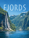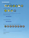# YOUR FJORDS GAME INCLUDES:

64 landscape tiles (with green backs)





*(Pop out all the carboard pieces from their frames before playing your first game.)*

80 vikings (20 each in 4 colours)



16 longhouses (4 each in 4 colours)

# IMAGES COMING SOON

22 rune stones (used when playing the different variants at the end of these rules)



### 4 player aids

*(The rune stones and player aids are not used when playing Fjords with the basic rules.)*

1 bag (to hold the tiles), and

rule books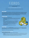# FJORDS

### By Franz-Benno Delonge with Phil Walker-Harding Illustrated by Beth Sobel

**2 to 4 players / 30-45 minutes playtime / 8 years and above**

*Explore a landscape so stunning that even a Viking would hold their breath in awe...*

# GOAL OF THE GAME

*Fjords* is a tile-laying game that takes place in two phases. First, the players will explore the landscape around them by laying hexagonal landscape tiles and placing their clan's longhouses upon them. Second, beginning from the longhouses placed during the exploration phase, players will walk the landscape, claiming as much of the plains as possible. The winner of the game will be the player who has claimed the most land. Savvy placements and the ability to plan ahead while responding to your opponents' moves will be your most important tools...

# SETTING UP THE GAME

Setting up a game of *Fjords* is relatively simple:

- Each player chooses a colour of longhouses and vikings and places all the pieces matching that colour in front of themselves (if any colours are unused, return them to the box).
- Place the three starting tiles face-up in the centre of the playing area as shown:
- Place all the required landscape tiles into the bag (when playing with 4 players use all the tiles, when playing with 3 players remove all tiles marked with a "4" from the game, and when playing with 2 players, remove all tiles marked with a "3" or a "4" from the game.)
- Now draw 4 tiles from the bag and place them face-up in a row near the playing area.
- Randomly select a starting player and you are ready to go!



# PLAYING THE GAME

*Fjords* is played in 2 phases. In the *Exploration Phase*, tiles are added to the play area and the players may choose to place their longhouses on the tiles. Then (once all the landscape tiles have been placed), in the *Settlement Phase*, the players place their vikings on the tiles, claiming the land around their longhouses.

Players take turns in order, clockwise around the table.

### **TAKING A TURN DURING THE EXPLORATION PHASE:**

### *On your turn, follow these three steps:*

1) Choose any tile from the row of 4 face-up tiles and add it to the play area.

- The tile must be placed so that it touches 2 or more tiles, and all terrain (mountain/plains/ocean) must match at the edges.
- The tile must not be placed so that it creates a second landmass (ie: two separate areas of land divided by water), even if the new landmass could possibly be joined to the mainland on a later turn.

3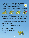- It is okay if the tile placement creates a "hole" in the play area, as long as the above point is followed.
- It is okay to create a new area of plains that is separated by mountains.
- 2) After placing the tile, you may place 1 of the longhouses in your supply on top of the tile you just placed.
	- Once placed, a longhouse may never be moved or removed.
	- Thematically, the longhouses are placed on green plains. The all-mountain tile may never have a longhouse placed upon it (the greenery on that tile is for aesthetic purposes only).
- 3) Finally, draw a new tile from the bag and add it face-up to the row.
	- If there are no tiles left to draw, play continues with less than 4 tiles in the row.
	- If the active player can find no legal placement for any of the 4 tiles, and no opponent points out a legal placement to them, then 4 new tiles are drawn to make a new face-up row, and the previous row of 4 tiles are then placed back into the bag. (This process is repeated if all the newly drawn tiles cannot be placed legally.)

Then the next player takes their turn.



*This is not a legal placement as the new tile only touches one other tile.*



*This is not a legal placement because all the terrain types on the new tile do not connect correctly.*



*This is an example of a legal tile placement!*



*Remember: You can't create a second landmass or island!*

The Exploration Phase ends when all the landscape tiles have been placed, or when all tiles in the row (and bag, if any are remaining) cannot be placed legally.

*Note: Be aware that any longhouses remaining in the players' supplies at the end of the Exploration Phase will not be able to be placed in the second phase of the game!*

### **TAKING A TURN DURING THE SETTLEMENT PHASE:**

Once the exploration phase has completed (usually at the end of the turn in which the final landscape tile has been placed), the settlement phase commences. The first turn of the settlement phase is played by the player to the left of whoever placed the final tile of the exploration phase. (This means that if on a player's turn all remaining tiles were unplaceable, they would begin the settlement phase.)

Now a turn looks very different. On your turn during the settlement phase you must place a viking from your supply on a vacant landscape tile in the play area. The tile you choose to place your viking on must be:

- adjacent to a tile with one of your longhouses or one of your vikings on it, and,
- contain plains and be connected to a previously placed and adjacent longhouse or viking by plains (in other words, vikings are only ever placed on green grass).

Once a viking is placed it may never be moved or removed. Two vikings can never share a tile with a viking or a longhouse - only one longhouse or viking can be on any tile.

If a player cannot place any more vikings legally, they are out of the game and their turn is skipped from now on. The Settlement Phase ends when all players are out of the game.

- *In this close-up of the playing area, the tile marked D may only be claimed with a viking by the grey player. This is because it is adjacent to one grey's longhouses, but not one of yellow's. The tiles marked B and C can be claimed by either the yellow or grey player as they are both adjacent to their longhouses.*
- *The tile marked A can currently only be claimed by yellow. However, if grey places a viking on C before yellow does, they will then be able to place on A because it will then be adjacent to one of their vikings! If yellow places a viking on C before grey, this will block off A from grey.*

*Note that yellow cannot place a viking on D, even if they place a viking on B, because the path through grass from B to D passes through an opponent's piece (longhouse).*



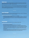# WINNING THE GAME

Once the Settlement Phase has ended, players total their score to determine a winner. Players earn 1 point for every viking they placed in the play area. The player with the most points wins! (In the event of a tie you may wish to play another round and add your scores together to determine the winner.)

*Note: To quickly determine a winner you can simply look at who has the fewest vikings left over at the end of the game.*

*While rare, it is possible that at the end of the game there could be uncontested tiles that a player could have placed vikings on, but they ran out. In this case, the player scores these tiles as if they had vikings on them. This only happens if it was impossible for an opponent to claim these tiles.*

 $\sim$   $\sim$   $\sim$   $\sim$ 

# THE EPIC 2-PLAYER VARIANT

When playing *Fjords* with 2 players you may prefer using this variant which gives players a longer, more strategic game (especially when playing with the rune stones - see later in these rules.)

**The changes when playing the Epic game are:**

- Use all the tiles in the game (including those marked for "3" or "4" players).
- Each player takes 20 vikings and 4 longhouses of one colour, and 10 vikings and 2 longhouses of another colour as their supply. The players treat both of their colours as their own pieces during gameplay and scoring. (However, when using rune stone variants that provide a rune stone to each player, only use one rune per player, not two.)

# THE CLASSIC VARIANT

Players may wish to try playing *Fjords* with the rules of the original game (released in 2005).

**The changes when playing the Classic game are:**

- Don't use any of the rune stone expansions.
- Play the game three times, combining your scores across the three games together.
- Do not have 4 landscape tiles face-up to choose from. On your turn, simply draw a landscape tile and then attempt to place it. If a player cannot find a legal placement for the tile and their opponent does not point one out, simply set it aside face-up nearby. The player then draws a new tile, or chooses to place one that is already set aside. On a future turn, a player may now choose to place a set-aside tile instead of drawing a new landscape tile at the start of their turn (this is not mandatory - you may still draw a tile if you do not wish to place any set-aside tile).
- The exploration phase ends after the turn in which the final tile is drawn. This means some set-aside tiles may not be placed. If the final drawn tile is placed, the next player in turn order starts the settlement phase. If it can't be placed legally and is put aside, the player who drew it starts the settlement phase.

5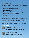# PLAYING FJORDS WITH THE RUNE STONES

*As the people traverse the land, they mark the very mountains with the mystic symbols shared by their people and the gods to petition their help and protection...*

The rune stone mini-expansions add more variety to each game of Fjords. Players may choose to play a game with any number of rune stones. To get to know how each rune affects gamepla, we suggest adding them to your games in the following order:

**Game 1: Do not use any rune stones. Game 2: Strength.**  The strength rune brings your vikings a new way to score points in the mountains. **Game 3: Strength, water.** The water rune makes one coastline worth more points as your vikings prepare to travel across the sea. **Game 4: Strength, water, journey, horse.** Spend runes to give your vikings new ways to move across the land and find new places to settle. **Game 5: Journey, horse, friendship.** The friendship runes mark special sites in the plains. Score points by having the most vikings surrounding them. **Game 6: Journey, horse, friendship, wisdom.**

The Wisdom rune provides a surprising new way to gain access to important land.

### **Game 7: Journey, horse, wisdom, home.**

Make one of your longhouses your special home to score extra points around it. Just ensure you choose its location very wisely.

Find the combination of runestones you enjoy playing with the most!

### **General Setup Changes:**

Before a game using one or more sets of rune stones, hand each player a player aid to help them remember the effects of each rune.

Place the rune stone(s) being used near the play area, unless the variant(s) used provide a copy of the rune stone for each player. In that case, the players can add the rune stones matching their player colour to their personal supply of pieces.

### **General Placement Rule:**

Unless otherwise stated below, no tile containing a rune stone may also have a longhouse or viking placed upon it. In other words, (unless specifically stated) only one piece (longhouse/viking/rune stone) may ever be on any one tile.

# THE STRENGTH RUNE (THOR)



*May I live with the strength and power of the mighty Thor and may this unforgiving terrain not defeat me...*

Leave the Strength rune stone off to the side during setup.

In the exploration phase, when the tile depicting only mountains (marked with the strength rune symbol) is added to the play area, the player must place the Thor rune stone on it. During scoring, any viking on a tile adjacent to the Strength rune stone scores its owner 1 (additional) point.

# THE WATER RUNE (LAGUZ)



# *I am thankful for the water that surrounds us, giving us both sustenance and protection...*

Leave the Water rune stone off to the side during setup.

In the exploration phase when the tile marked the water rune symbol is added to the play area, the player must place the Water rune stone on it. During scoring, any viking on a tile that depicts part of the water region that the Water rune tile is on scores its owner 1 (additional) point.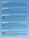# THE JOURNEY RUNES (RAIDO)



*Keep me safe as I travel these unknown waters, seeking the food and land my people require…* Each player starts with 1 Raido rune stone in their supply.

During the settlement phase, a player may discard their Journey rune stone, using it instead of taking a normal turn. They select any tile with water that has one of their vikings or longhouses on it. They then place a viking from their supply on any vacant tile tile that is 1-3 adjacent tiles away from their selected tile, as long as there is a contiguous region of water on all of these adjacent tiles. This may

be used to "travel" along the coast or across open sea.

# THE HORSE RUNES (EHWAZ)



*May my animal companion stay strong as we traverse these mountainous regions, and bring me safely home once more...*

Each player starts with 1 Horse rune stone in their supply.

During the settlement phase, a player may discard their Horse rune stone, using it instead of taking a normal turn. They select any tile with mountains on it that has one of their vikings or longhouses on it. They then place a viking from their supply on any vacant tile that is 1-3 adjacent tiles away from

their selected tile, as long as there is a contiguous region of mountain on all of these adjacent tiles. This may be used to "travel" along the edge of a mountain or to go over it.

## THE FRIENDSHIP RUNES (GYFU)



*By living and working peacefully together we will gift each other the strength we need to prosper..* Leave the Friendship rune stones off to the side during setup (you will only need 1 per player). During the exploration phase, whenever a tile depicting only plains (marked with the Friendship rune symbol) is added to the play area, the player must place a Friendship rune stone on it. (Note that no Friendship rune is placed on the plains starting tile).

If a player must place a Friendship rune, they cannot place a longhouse on the tile as well.

During scoring, each tile with a Friendship rune stone is considered separately. Whichever player has the most vikings on tiles adjacent to the Friendship rune stone scores 2 points. If multiple players are tied for the most they all score the 2 points. A viking may be counted in the scoring of multiple Friendship runes.

## THE WISDOM RUNES (ODIN)

### *I step into the unknown, the almighty Odin my strength and safety...*



Each player starts with 1 Wisdom rune stone in their supply.

During the settlement phase, a player may use their Wisdom rune instead of taking a normal turn. They place their Wisdom rune on an empty space on the table adjacent to at least two tiles. At least one of these tiles adjacent to the rune stone must have one of the player's vikings or longhouses on an area of plains adjacent to where the rune is being placed. The player then places a viking from

their supply on a vacant tile adjacent to the rune that has a plains area directly adjacent to the rune. In other words, the wisdom rune allows players to "jump" an empty space.

After the turn in which a Wisdom rune stone is placed, it has no further effect in the game, except to block other players placing their Wisdom rune on that "space".

## THE HOME RUNES (ODAL)



### *I mark my home with this rune that it may become a refuge of happiness to all who may dwell here...*

Each player starts with 1 Home rune stone in their supply.

On any turn in the exploration phase after placing a tile, a player may place their Home rune stone on that tile. They must then place one of their longhouses from their supply on top of the Home rune stone. (If the player has no longhouses left in their supply they may not place their Home rune stone.)

During scoring, any viking belonging to the player that is on a tile adjacent to their Home Home rune scores them 1 (additional) point. (Adjacent opponent pieces do not score the bonus.)